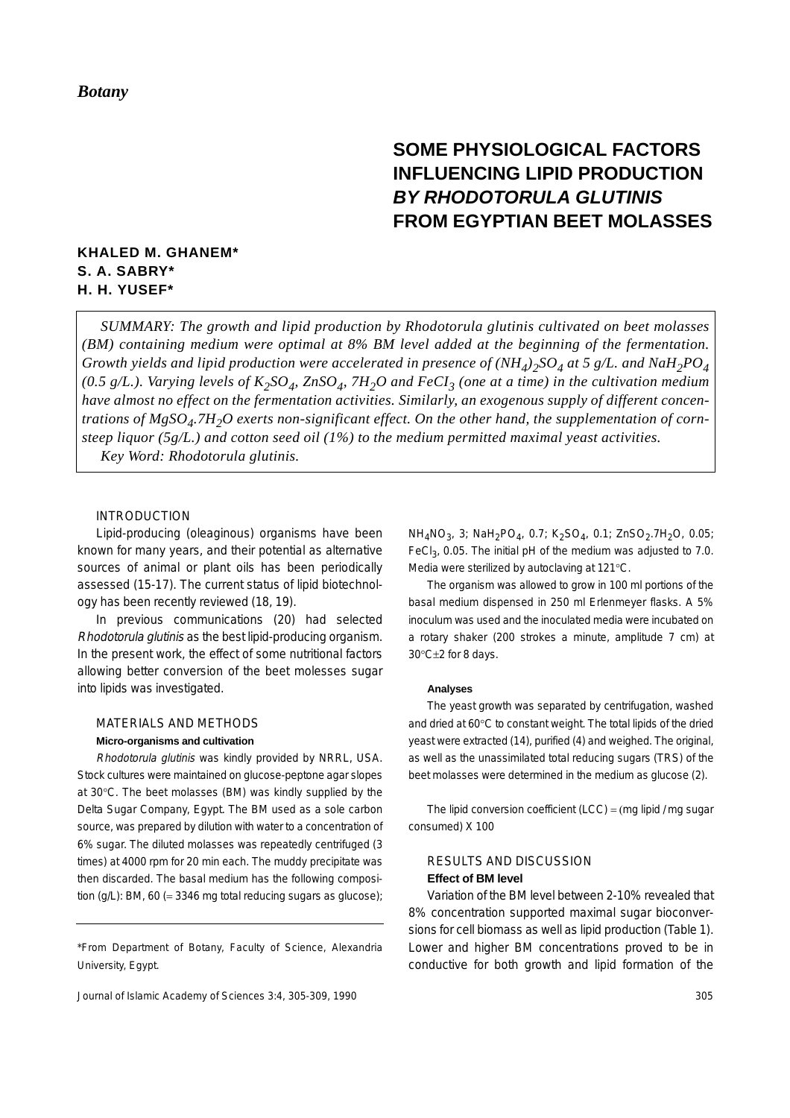# **SOME PHYSIOLOGICAL FACTORS INFLUENCING LIPID PRODUCTION** *BY RHODOTORULA GLUTINIS* **FROM EGYPTIAN BEET MOLASSES**

# **KHALED M. GHANEM\* S. A. SABRY\* H. H. YUSEF\***

*SUMMARY: The growth and lipid production by Rhodotorula glutinis cultivated on beet molasses (BM) containing medium were optimal at 8% BM level added at the beginning of the fermentation. Growth yields and lipid production were accelerated in presence of (NH4)2SO4 at 5 g/L. and NaH2PO4* (0.5 g/L.). Varying levels of  $K_2SO_4$ , ZnSO<sub>4</sub>, 7H<sub>2</sub>O and FeCI<sub>3</sub> (one at a time) in the cultivation medium *have almost no effect on the fermentation activities. Similarly, an exogenous supply of different concen*trations of MgSO<sub>4</sub>.7H<sub>2</sub>O exerts non-significant effect. On the other hand, the supplementation of corn*steep liquor (5g/L.) and cotton seed oil (1%) to the medium permitted maximal yeast activities. Key Word: Rhodotorula glutinis.*

## INTRODUCTION

Lipid-producing (oleaginous) organisms have been known for many years, and their potential as alternative sources of animal or plant oils has been periodically assessed (15-17). The current status of lipid biotechnology has been recently reviewed (18, 19).

In previous communications (20) had selected Rhodotorula glutinis as the best lipid-producing organism. In the present work, the effect of some nutritional factors allowing better conversion of the beet molesses sugar into lipids was investigated.

## MATERIALS AND METHODS **Micro-organisms and cultivation**

Rhodotorula glutinis was kindly provided by NRRL, USA. Stock cultures were maintained on glucose-peptone agar slopes at 30°C. The beet molasses (BM) was kindly supplied by the Delta Sugar Company, Egypt. The BM used as a sole carbon source, was prepared by dilution with water to a concentration of 6% sugar. The diluted molasses was repeatedly centrifuged (3 times) at 4000 rpm for 20 min each. The muddy precipitate was then discarded. The basal medium has the following composition (g/L): BM, 60 (= 3346 mg total reducing sugars as glucose);

\*From Department of Botany, Faculty of Science, Alexandria University, Egypt.

Journal of Islamic Academy of Sciences 3:4, 305-309, 1990

NH<sub>4</sub>NO<sub>3</sub>, 3; NaH<sub>2</sub>PO<sub>4</sub>, 0.7; K<sub>2</sub>SO<sub>4</sub>, 0.1; ZnSO<sub>2</sub>.7H<sub>2</sub>O, 0.05; FeCl<sub>3</sub>, 0.05. The initial pH of the medium was adjusted to 7.0. Media were sterilized by autoclaving at 121°C.

The organism was allowed to grow in 100 ml portions of the basal medium dispensed in 250 ml Erlenmeyer flasks. A 5% inoculum was used and the inoculated media were incubated on a rotary shaker (200 strokes a minute, amplitude 7 cm) at 30°C±2 for 8 days.

#### **Analyses**

The yeast growth was separated by centrifugation, washed and dried at 60°C to constant weight. The total lipids of the dried yeast were extracted (14), purified (4) and weighed. The original, as well as the unassimilated total reducing sugars (TRS) of the beet molasses were determined in the medium as glucose (2).

The lipid conversion coefficient  $(ICC) = (mq$  lipid / mg sugar consumed) X 100

## RESULTS AND DISCUSSION **Effect of BM level**

Variation of the BM level between 2-10% revealed that 8% concentration supported maximal sugar bioconversions for cell biomass as well as lipid production (Table 1). Lower and higher BM concentrations proved to be in conductive for both growth and lipid formation of the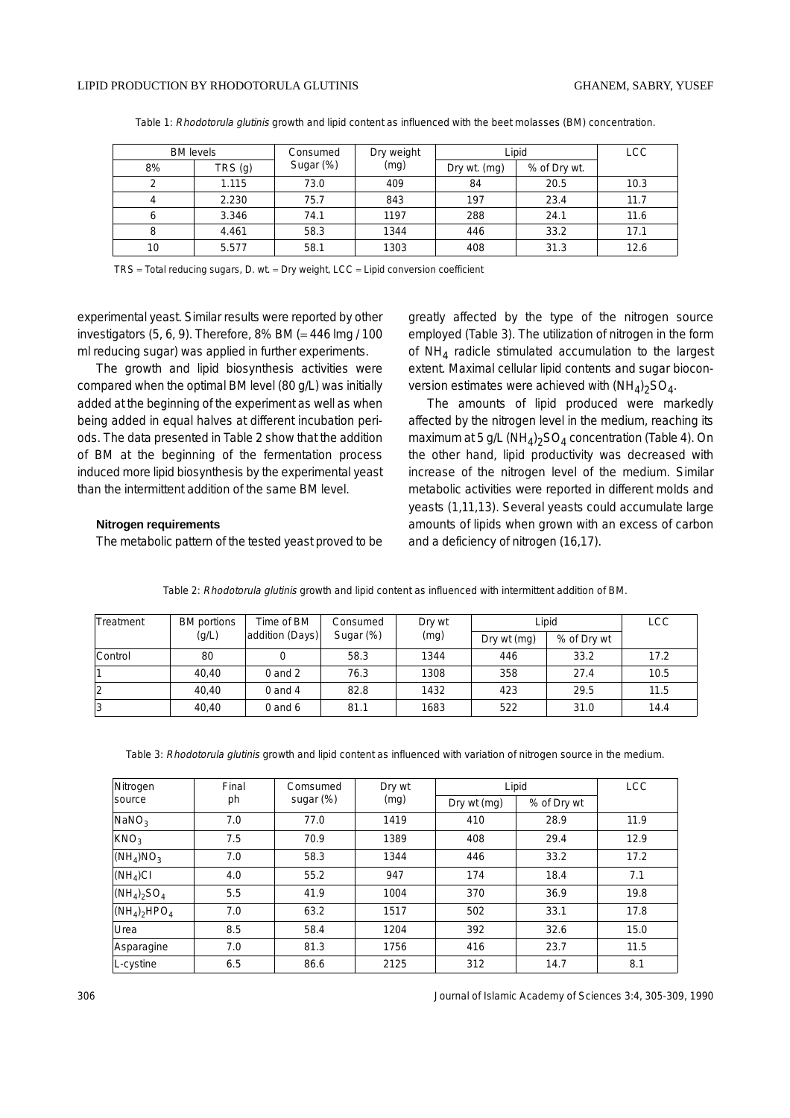| <b>BM</b> levels |        | Consumed  | Dry weight | Lipid        | <b>LCC</b>   |      |
|------------------|--------|-----------|------------|--------------|--------------|------|
| 8%               | TRS(q) | Sugar (%) | (mg)       | Dry wt. (mg) | % of Dry wt. |      |
|                  | 1.115  | 73.0      | 409        | 84           | 20.5         | 10.3 |
|                  | 2.230  | 75.7      | 843        | 197          | 23.4         | 11.7 |
|                  | 3.346  | 74.1      | 1197       | 288          | 24.1         | 11.6 |
|                  | 4.461  | 58.3      | 1344       | 446          | 33.2         | 17.1 |
| 10               | 5.577  | 58.1      | 1303       | 408          | 31.3         | 12.6 |

Table 1: Rhodotorula glutinis growth and lipid content as influenced with the beet molasses (BM) concentration.

TRS = Total reducing sugars, D. wt. = Dry weight, LCC = Lipid conversion coefficient

experimental yeast. Similar results were reported by other investigators  $(5, 6, 9)$ . Therefore, 8% BM (= 446 lmg / 100 ml reducing sugar) was applied in further experiments.

The growth and lipid biosynthesis activities were compared when the optimal BM level (80 g/L) was initially added at the beginning of the experiment as well as when being added in equal halves at different incubation periods. The data presented in Table 2 show that the addition of BM at the beginning of the fermentation process induced more lipid biosynthesis by the experimental yeast than the intermittent addition of the same BM level.

#### **Nitrogen requirements**

The metabolic pattern of the tested yeast proved to be

greatly affected by the type of the nitrogen source employed (Table 3). The utilization of nitrogen in the form of  $NH<sub>4</sub>$  radicle stimulated accumulation to the largest extent. Maximal cellular lipid contents and sugar bioconversion estimates were achieved with  $(NH_4)_2SO_4$ .

The amounts of lipid produced were markedly affected by the nitrogen level in the medium, reaching its maximum at 5 g/L (NH<sub>4</sub>)<sub>2</sub>SO<sub>4</sub> concentration (Table 4). On the other hand, lipid productivity was decreased with increase of the nitrogen level of the medium. Similar metabolic activities were reported in different molds and yeasts (1,11,13). Several yeasts could accumulate large amounts of lipids when grown with an excess of carbon and a deficiency of nitrogen (16,17).

| Treatment | BM portions | Time of BM      | Consumed  | Dry wt | Lipid       |             | <b>LCC</b> |
|-----------|-------------|-----------------|-----------|--------|-------------|-------------|------------|
|           | (g/L)       | addition (Days) | Sugar (%) | (mg)   | Dry wt (mg) | % of Dry wt |            |
| Control   | 80          |                 | 58.3      | 1344   | 446         | 33.2        | 17.2       |
|           | 40,40       | $0$ and $2$     | 76.3      | 1308   | 358         | 27.4        | 10.5       |
|           | 40,40       | $0$ and $4$     | 82.8      | 1432   | 423         | 29.5        | 11.5       |
| 3         | 40,40       | $0$ and $6$     | 81.1      | 1683   | 522         | 31.0        | 14.4       |

Table 2: Rhodotorula glutinis growth and lipid content as influenced with intermittent addition of BM.

Table 3: Rhodotorula glutinis growth and lipid content as influenced with variation of nitrogen source in the medium.

| Nitrogen             | Final | Comsumed  | Dry wt | Lipid       | <b>LCC</b>  |      |
|----------------------|-------|-----------|--------|-------------|-------------|------|
| <b>source</b>        | ph    | sugar (%) | (mg)   | Dry wt (mg) | % of Dry wt |      |
| NaNO <sub>3</sub>    | 7.0   | 77.0      | 1419   | 410         | 28.9        | 11.9 |
| KNO <sub>3</sub>     | 7.5   | 70.9      | 1389   | 408         | 29.4        | 12.9 |
| $(NH_4)NO_3$         | 7.0   | 58.3      | 1344   | 446         | 33.2        | 17.2 |
| (NH <sub>4</sub> )CI | 4.0   | 55.2      | 947    | 174         | 18.4        | 7.1  |
| $(NH_4)_2SO_4$       | 5.5   | 41.9      | 1004   | 370         | 36.9        | 19.8 |
| $(NH_4)_2HPO_4$      | 7.0   | 63.2      | 1517   | 502         | 33.1        | 17.8 |
| Urea                 | 8.5   | 58.4      | 1204   | 392         | 32.6        | 15.0 |
| Asparagine           | 7.0   | 81.3      | 1756   | 416         | 23.7        | 11.5 |
| L-cystine            | 6.5   | 86.6      | 2125   | 312         | 14.7        | 8.1  |

306 Journal of Islamic Academy of Sciences 3:4, 305-309, 1990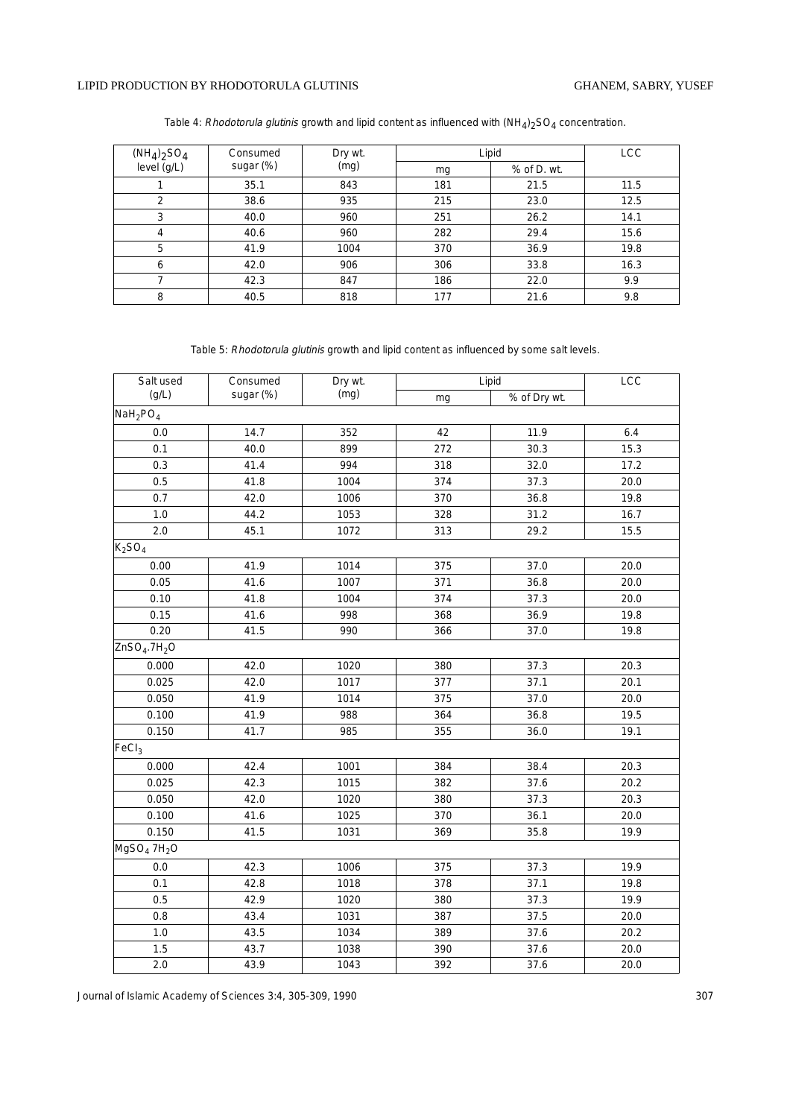## LIPID PRODUCTION BY RHODOTORULA GLUTINIS

| $(NH_4)_2SO_4$ | Consumed  | Dry wt. | Lipid | <b>LCC</b>  |      |
|----------------|-----------|---------|-------|-------------|------|
| level $(g/L)$  | sugar (%) | (mg)    | mg    | % of D. wt. |      |
|                | 35.1      | 843     | 181   | 21.5        | 11.5 |
| 2              | 38.6      | 935     | 215   | 23.0        | 12.5 |
| 3              | 40.0      | 960     | 251   | 26.2        | 14.1 |
| 4              | 40.6      | 960     | 282   | 29.4        | 15.6 |
| 5              | 41.9      | 1004    | 370   | 36.9        | 19.8 |
| 6              | 42.0      | 906     | 306   | 33.8        | 16.3 |
|                | 42.3      | 847     | 186   | 22.0        | 9.9  |
| 8              | 40.5      | 818     | 177   | 21.6        | 9.8  |

Table 5: Rhodotorula glutinis growth and lipid content as influenced by some salt levels.

| Salt used                            | Consumed  | Dry wt. | Lipid | LCC          |      |
|--------------------------------------|-----------|---------|-------|--------------|------|
| (g/L)                                | sugar (%) | (mg)    | mg    | % of Dry wt. |      |
| $N$ aH <sub>2</sub> PO <sub>4</sub>  |           |         |       |              |      |
| 0.0                                  | 14.7      | 352     | 42    | 11.9         | 6.4  |
| 0.1                                  | 40.0      | 899     | 272   | 30.3         | 15.3 |
| 0.3                                  | 41.4      | 994     | 318   | 32.0         | 17.2 |
| 0.5                                  | 41.8      | 1004    | 374   | 37.3         | 20.0 |
| 0.7                                  | 42.0      | 1006    | 370   | 36.8         | 19.8 |
| $1.0$                                | 44.2      | 1053    | 328   | 31.2         | 16.7 |
| $2.0\,$                              | 45.1      | 1072    | 313   | 29.2         | 15.5 |
| K <sub>2</sub> SO <sub>4</sub>       |           |         |       |              |      |
| 0.00                                 | 41.9      | 1014    | 375   | 37.0         | 20.0 |
| 0.05                                 | 41.6      | 1007    | 371   | 36.8         | 20.0 |
| 0.10                                 | 41.8      | 1004    | 374   | 37.3         | 20.0 |
| 0.15                                 | 41.6      | 998     | 368   | 36.9         | 19.8 |
| 0.20                                 | 41.5      | 990     | 366   | 37.0         | 19.8 |
| ZnSO <sub>4</sub> .7H <sub>2</sub> O |           |         |       |              |      |
| 0.000                                | 42.0      | 1020    | 380   | 37.3         | 20.3 |
| 0.025                                | 42.0      | 1017    | 377   | 37.1         | 20.1 |
| 0.050                                | 41.9      | 1014    | 375   | 37.0         | 20.0 |
| 0.100                                | 41.9      | 988     | 364   | 36.8         | 19.5 |
| 0.150                                | 41.7      | 985     | 355   | 36.0         | 19.1 |
| FeCl <sub>3</sub>                    |           |         |       |              |      |
| 0.000                                | 42.4      | 1001    | 384   | 38.4         | 20.3 |
| 0.025                                | 42.3      | 1015    | 382   | 37.6         | 20.2 |
| 0.050                                | 42.0      | 1020    | 380   | 37.3         | 20.3 |
| 0.100                                | 41.6      | 1025    | 370   | 36.1         | 20.0 |
| 0.150                                | 41.5      | 1031    | 369   | 35.8         | 19.9 |
| MgSO <sub>4</sub> 7H <sub>2</sub> O  |           |         |       |              |      |
| 0.0                                  | 42.3      | 1006    | 375   | 37.3         | 19.9 |
| 0.1                                  | 42.8      | 1018    | 378   | 37.1         | 19.8 |
| 0.5                                  | 42.9      | 1020    | 380   | 37.3         | 19.9 |
| 0.8                                  | 43.4      | 1031    | 387   | 37.5         | 20.0 |
| 1.0                                  | 43.5      | 1034    | 389   | 37.6         | 20.2 |
| 1.5                                  | 43.7      | 1038    | 390   | 37.6         | 20.0 |
| 2.0                                  | 43.9      | 1043    | 392   | 37.6         | 20.0 |

Journal of Islamic Academy of Sciences 3:4, 305-309, 1990 307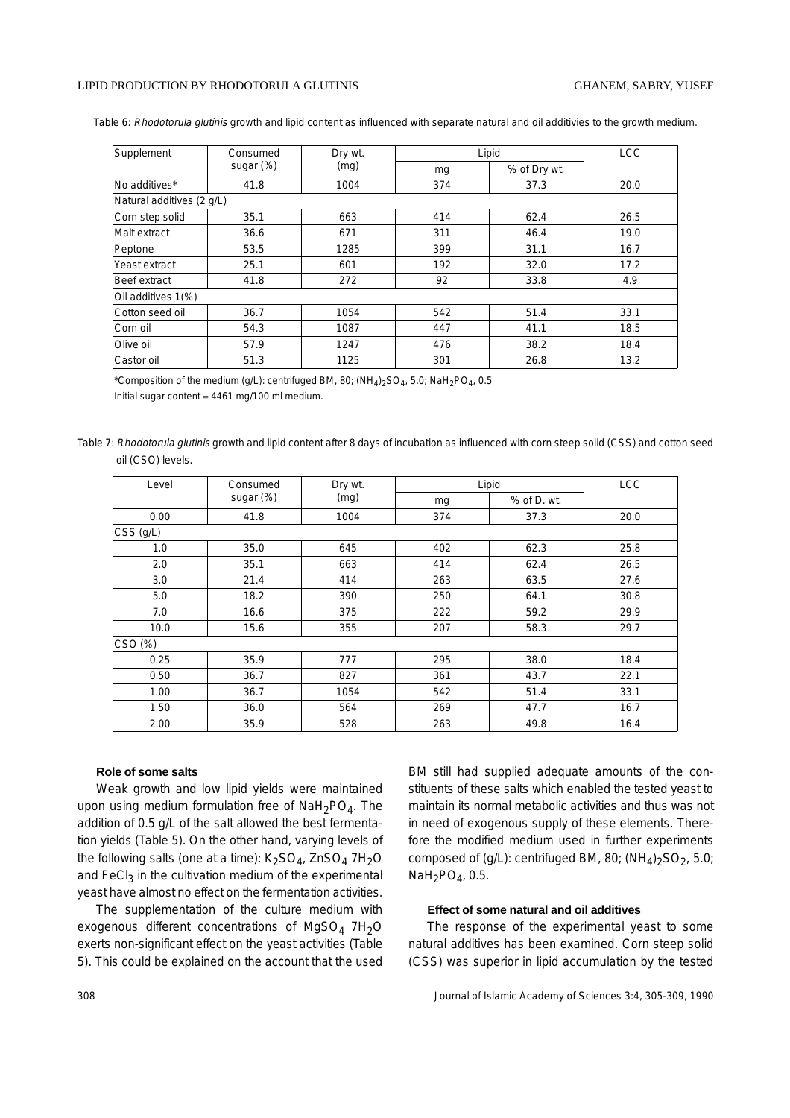#### LIPID PRODUCTION BY RHODOTORULA GLUTINIS GHANEM, SABRY, YUSEF

Table 6: Rhodotorula glutinis growth and lipid content as influenced with separate natural and oil additivies to the growth medium.

| Supplement                | Consumed  | Dry wt.<br>(mq) | Lipid | <b>LCC</b>   |      |
|---------------------------|-----------|-----------------|-------|--------------|------|
|                           | sugar (%) |                 | mg    | % of Dry wt. |      |
| No additives*             | 41.8      | 1004            | 374   | 37.3         | 20.0 |
| Natural additives (2 g/L) |           |                 |       |              |      |
| Corn step solid           | 35.1      | 663             | 414   | 62.4         | 26.5 |
| Malt extract              | 36.6      | 671             | 311   | 46.4         | 19.0 |
| Peptone                   | 53.5      | 1285            | 399   | 31.1         | 16.7 |
| Yeast extract             | 25.1      | 601             | 192   | 32.0         | 17.2 |
| Beef extract              | 41.8      | 272             | 92    | 33.8         | 4.9  |
| Oil additives 1(%)        |           |                 |       |              |      |
| Cotton seed oil           | 36.7      | 1054            | 542   | 51.4         | 33.1 |
| Corn oil                  | 54.3      | 1087            | 447   | 41.1         | 18.5 |
| Olive oil                 | 57.9      | 1247            | 476   | 38.2         | 18.4 |
| Castor oil                | 51.3      | 1125            | 301   | 26.8         | 13.2 |

\*Composition of the medium (g/L): centrifuged BM, 80; (NH<sub>4</sub>)<sub>2</sub>SO<sub>4</sub>, 5.0; NaH<sub>2</sub>PO<sub>4</sub>, 0.5

Initial sugar content = 4461 mg/100 ml medium.

Table 7: Rhodotorula glutinis growth and lipid content after 8 days of incubation as influenced with corn steep solid (CSS) and cotton seed oil (CSO) levels.

| Level             | Consumed  | Dry wt.<br>(mg) | Lipid | <b>LCC</b>  |      |  |
|-------------------|-----------|-----------------|-------|-------------|------|--|
|                   | sugar (%) |                 | mg    | % of D. wt. |      |  |
| 0.00              | 41.8      | 1004            | 374   | 37.3        | 20.0 |  |
| $\vert$ CSS (g/L) |           |                 |       |             |      |  |
| 1.0               | 35.0      | 645             | 402   | 62.3        | 25.8 |  |
| 2.0               | 35.1      | 663             | 414   | 62.4        | 26.5 |  |
| 3.0               | 21.4      | 414             | 263   | 63.5        | 27.6 |  |
| 5.0               | 18.2      | 390             | 250   | 64.1        | 30.8 |  |
| 7.0               | 16.6      | 375             | 222   | 59.2        | 29.9 |  |
| 10.0              | 15.6      | 355             | 207   | 58.3        | 29.7 |  |
| CSO (%)           |           |                 |       |             |      |  |
| 0.25              | 35.9      | 777             | 295   | 38.0        | 18.4 |  |
| 0.50              | 36.7      | 827             | 361   | 43.7        | 22.1 |  |
| 1.00              | 36.7      | 1054            | 542   | 51.4        | 33.1 |  |
| 1.50              | 36.0      | 564             | 269   | 47.7        | 16.7 |  |
| 2.00              | 35.9      | 528             | 263   | 49.8        | 16.4 |  |

#### **Role of some salts**

Weak growth and low lipid yields were maintained upon using medium formulation free of  $\text{NaH}_2\text{PO}_4$ . The addition of 0.5 g/L of the salt allowed the best fermentation yields (Table 5). On the other hand, varying levels of the following salts (one at a time):  $K_2SO_4$ , ZnSO<sub>4</sub> 7H<sub>2</sub>O and  $FeCl<sub>3</sub>$  in the cultivation medium of the experimental yeast have almost no effect on the fermentation activities.

The supplementation of the culture medium with exogenous different concentrations of  $MgSO<sub>4</sub> 7H<sub>2</sub>O$ exerts non-significant effect on the yeast activities (Table 5). This could be explained on the account that the used BM still had supplied adequate amounts of the constituents of these salts which enabled the tested yeast to maintain its normal metabolic activities and thus was not in need of exogenous supply of these elements. Therefore the modified medium used in further experiments composed of (g/L): centrifuged BM, 80;  $(NH_4)_2SO_2$ , 5.0;  $NaH<sub>2</sub>PO<sub>4</sub>$ , 0.5.

# **Effect of some natural and oil additives**

The response of the experimental yeast to some natural additives has been examined. Corn steep solid (CSS) was superior in lipid accumulation by the tested